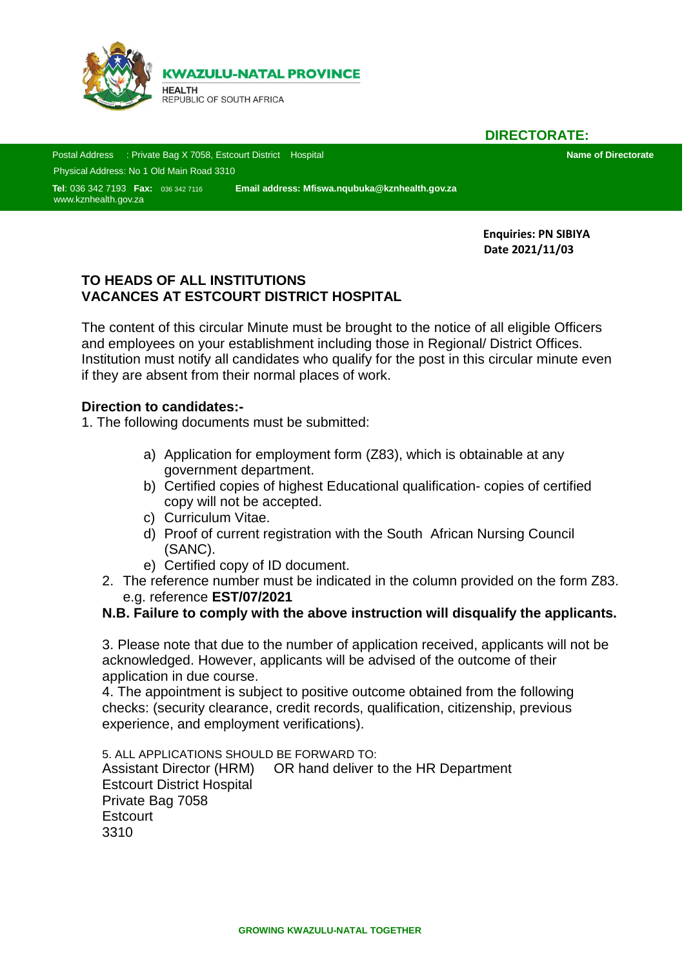

**DIRECTORATE:**

 Postal Address : Private Bag X 7058, Estcourt District Hospital **Name of Directorate** Physical Address: No 1 Old Main Road 3310

 **Tel**: 036 342 7193 **Fax:** 036 342 7116 **Email address: Mfiswa.nqubuka@kznhealth.gov.za Sad** [www.kznhealth.gov.za](http://www.kznhealth.gov.za/)

> **Enquiries: PN SIBIYA Date 2021/11/03**

## **TO HEADS OF ALL INSTITUTIONS VACANCES AT ESTCOURT DISTRICT HOSPITAL**

The content of this circular Minute must be brought to the notice of all eligible Officers and employees on your establishment including those in Regional/ District Offices. Institution must notify all candidates who qualify for the post in this circular minute even if they are absent from their normal places of work.

## **Direction to candidates:-**

1. The following documents must be submitted:

- a) Application for employment form (Z83), which is obtainable at any government department.
- b) Certified copies of highest Educational qualification- copies of certified copy will not be accepted.
- c) Curriculum Vitae.
- d) Proof of current registration with the South African Nursing Council (SANC).
- e) Certified copy of ID document.
- 2. The reference number must be indicated in the column provided on the form Z83. e.g. reference **EST/07/2021**

## **N.B. Failure to comply with the above instruction will disqualify the applicants.**

3. Please note that due to the number of application received, applicants will not be acknowledged. However, applicants will be advised of the outcome of their application in due course.

4. The appointment is subject to positive outcome obtained from the following checks: (security clearance, credit records, qualification, citizenship, previous experience, and employment verifications).

5. ALL APPLICATIONS SHOULD BE FORWARD TO: Assistant Director (HRM) OR hand deliver to the HR Department Estcourt District Hospital Private Bag 7058 **Estcourt** 3310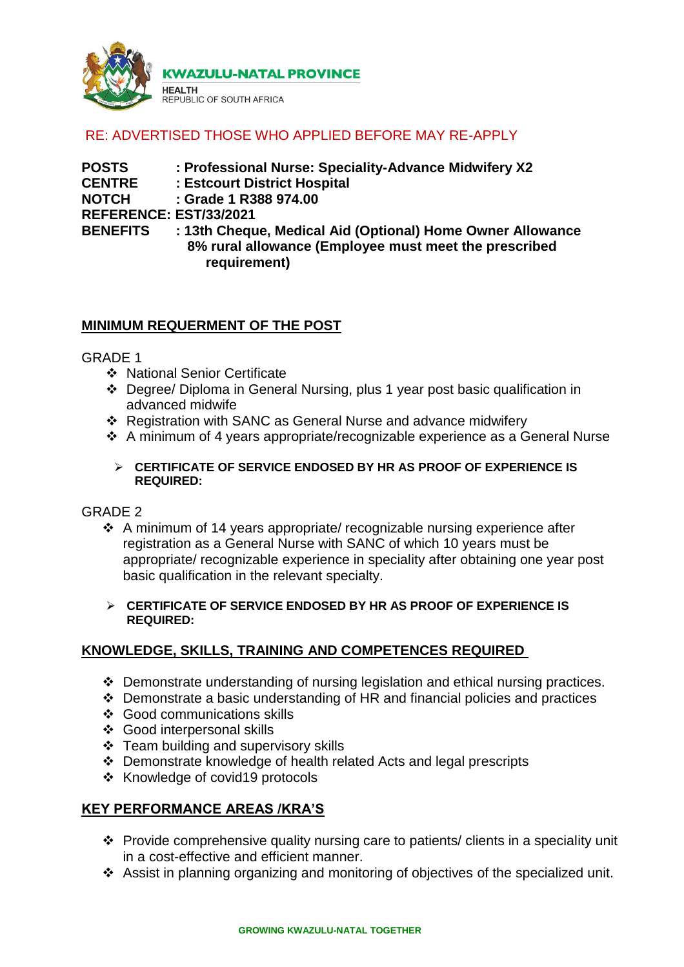

# RE: ADVERTISED THOSE WHO APPLIED BEFORE MAY RE-APPLY

**POSTS : Professional Nurse: Speciality-Advance Midwifery X2 CENTRE : Estcourt District Hospital NOTCH : Grade 1 R388 974.00 REFERENCE: EST/33/2021 BENEFITS : 13th Cheque, Medical Aid (Optional) Home Owner Allowance 8% rural allowance (Employee must meet the prescribed requirement)**

## **MINIMUM REQUERMENT OF THE POST**

GRADE 1

- ❖ National Senior Certificate
- Degree/ Diploma in General Nursing, plus 1 year post basic qualification in advanced midwife
- Registration with SANC as General Nurse and advance midwifery
- A minimum of 4 years appropriate/recognizable experience as a General Nurse

#### **CERTIFICATE OF SERVICE ENDOSED BY HR AS PROOF OF EXPERIENCE IS REQUIRED:**

#### GRADE 2

 $\div$  A minimum of 14 years appropriate/ recognizable nursing experience after registration as a General Nurse with SANC of which 10 years must be appropriate/ recognizable experience in speciality after obtaining one year post basic qualification in the relevant specialty.

#### **CERTIFICATE OF SERVICE ENDOSED BY HR AS PROOF OF EXPERIENCE IS REQUIRED:**

## **KNOWLEDGE, SKILLS, TRAINING AND COMPETENCES REQUIRED**

- Demonstrate understanding of nursing legislation and ethical nursing practices.
- $\cdot$  Demonstrate a basic understanding of HR and financial policies and practices
- Good communications skills
- Good interpersonal skills
- ❖ Team building and supervisory skills
- Demonstrate knowledge of health related Acts and legal prescripts
- ❖ Knowledge of covid19 protocols

## **KEY PERFORMANCE AREAS /KRA'S**

- Provide comprehensive quality nursing care to patients/ clients in a speciality unit in a cost-effective and efficient manner.
- Assist in planning organizing and monitoring of objectives of the specialized unit.